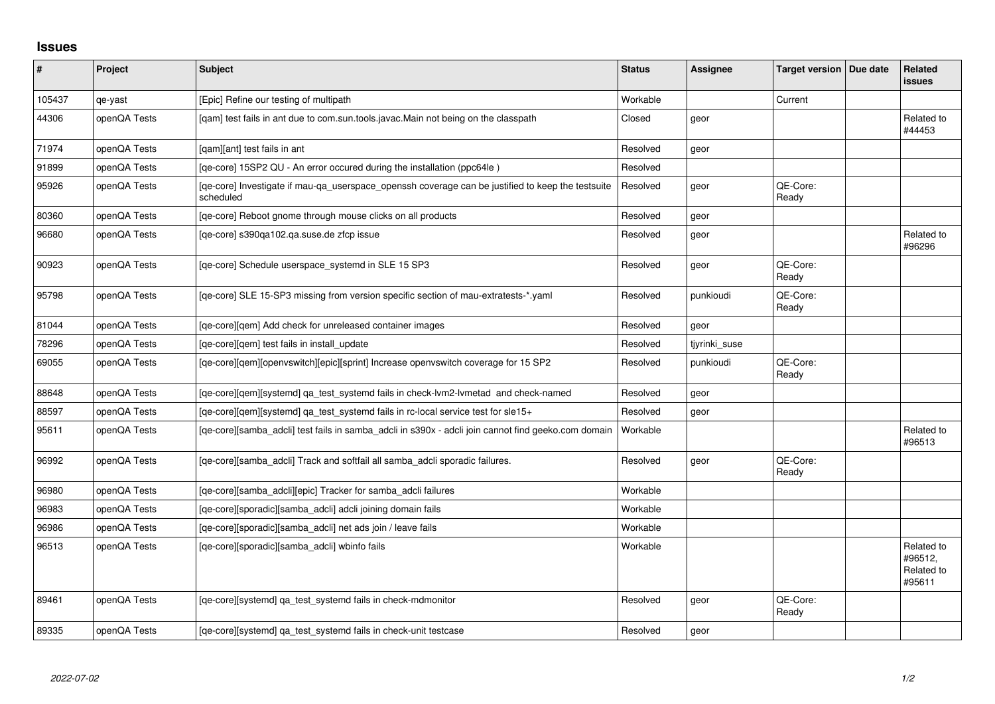## **Issues**

| ∦      | Project      | <b>Subject</b>                                                                                                 | <b>Status</b> | Assignee      | Target version   Due date | Related<br>issues                             |
|--------|--------------|----------------------------------------------------------------------------------------------------------------|---------------|---------------|---------------------------|-----------------------------------------------|
| 105437 | qe-yast      | [Epic] Refine our testing of multipath                                                                         | Workable      |               | Current                   |                                               |
| 44306  | openQA Tests | [qam] test fails in ant due to com.sun.tools.javac.Main not being on the classpath                             | Closed        | geor          |                           | Related to<br>#44453                          |
| 71974  | openQA Tests | [qam][ant] test fails in ant                                                                                   | Resolved      | geor          |                           |                                               |
| 91899  | openQA Tests | [qe-core] 15SP2 QU - An error occured during the installation (ppc64le)                                        | Resolved      |               |                           |                                               |
| 95926  | openQA Tests | [qe-core] Investigate if mau-qa_userspace_openssh coverage can be justified to keep the testsuite<br>scheduled | Resolved      | geor          | QE-Core:<br>Ready         |                                               |
| 80360  | openQA Tests | [ge-core] Reboot gnome through mouse clicks on all products                                                    | Resolved      | geor          |                           |                                               |
| 96680  | openQA Tests | [qe-core] s390qa102.qa.suse.de zfcp issue                                                                      | Resolved      | geor          |                           | Related to<br>#96296                          |
| 90923  | openQA Tests | [qe-core] Schedule userspace_systemd in SLE 15 SP3                                                             | Resolved      | geor          | QE-Core:<br>Ready         |                                               |
| 95798  | openQA Tests | [qe-core] SLE 15-SP3 missing from version specific section of mau-extratests-*.yaml                            | Resolved      | punkioudi     | QE-Core:<br>Ready         |                                               |
| 81044  | openQA Tests | [qe-core][qem] Add check for unreleased container images                                                       | Resolved      | geor          |                           |                                               |
| 78296  | openQA Tests | [qe-core][qem] test fails in install_update                                                                    | Resolved      | tjyrinki_suse |                           |                                               |
| 69055  | openQA Tests | [qe-core][qem][openvswitch][epic][sprint] Increase openvswitch coverage for 15 SP2                             | Resolved      | punkioudi     | QE-Core:<br>Ready         |                                               |
| 88648  | openQA Tests | [qe-core][qem][systemd] qa_test_systemd fails in check-lvm2-lvmetad and check-named                            | Resolved      | geor          |                           |                                               |
| 88597  | openQA Tests | [qe-core][qem][systemd] qa_test_systemd fails in rc-local service test for sle15+                              | Resolved      | geor          |                           |                                               |
| 95611  | openQA Tests | [qe-core][samba_adcli] test fails in samba_adcli in s390x - adcli join cannot find geeko.com domain            | Workable      |               |                           | Related to<br>#96513                          |
| 96992  | openQA Tests | [qe-core][samba_adcli] Track and softfail all samba_adcli sporadic failures.                                   | Resolved      | geor          | QE-Core:<br>Ready         |                                               |
| 96980  | openQA Tests | [qe-core][samba_adcli][epic] Tracker for samba_adcli failures                                                  | Workable      |               |                           |                                               |
| 96983  | openQA Tests | [qe-core][sporadic][samba_adcli] adcli joining domain fails                                                    | Workable      |               |                           |                                               |
| 96986  | openQA Tests | [qe-core][sporadic][samba_adcli] net ads join / leave fails                                                    | Workable      |               |                           |                                               |
| 96513  | openQA Tests | [qe-core][sporadic][samba_adcli] wbinfo fails                                                                  | Workable      |               |                           | Related to<br>#96512,<br>Related to<br>#95611 |
| 89461  | openQA Tests | [qe-core][systemd] qa_test_systemd fails in check-mdmonitor                                                    | Resolved      | geor          | QE-Core:<br>Ready         |                                               |
| 89335  | openQA Tests | [qe-core][systemd] qa_test_systemd fails in check-unit testcase                                                | Resolved      | geor          |                           |                                               |